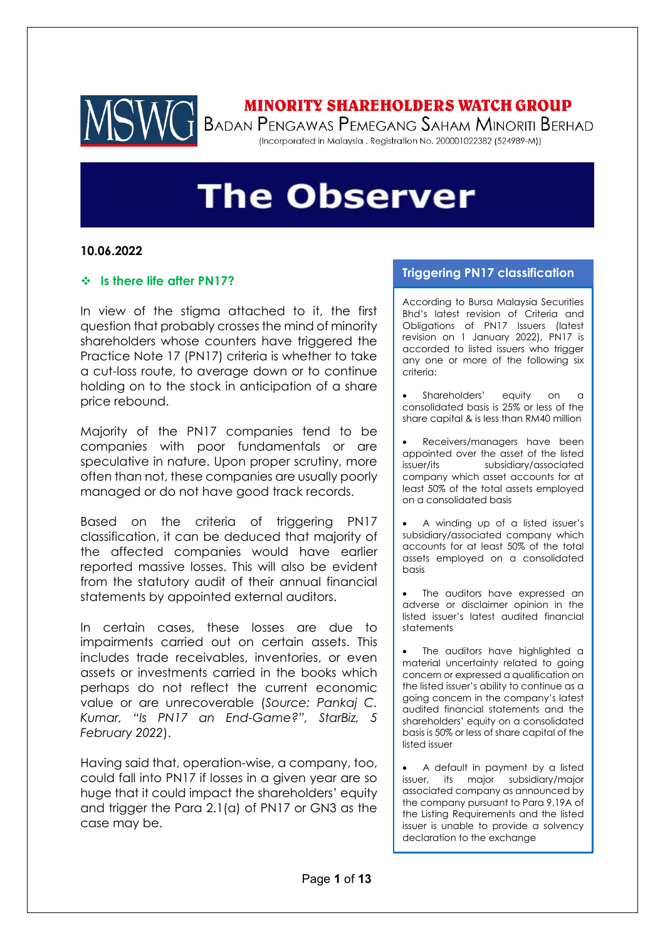

## **MINORITY SHAREHOLDERS WATCH GROUP**

BADAN PENGAWAS PEMEGANG SAHAM MINORITI BERHAD (Incorporated in Malaysia . Registration No. 200001022382 (524989-M))

# **The Observer**

### **10.06.2022**

#### ❖ **Is there life after PN17?**

In view of the stigma attached to it, the first question that probably crosses the mind of minority shareholders whose counters have triggered the Practice Note 17 (PN17) criteria is whether to take a cut-loss route, to average down or to continue holding on to the stock in anticipation of a share price rebound.

Majority of the PN17 companies tend to be companies with poor fundamentals or are speculative in nature. Upon proper scrutiny, more often than not, these companies are usually poorly managed or do not have good track records.

Based on the criteria of triggering PN17 classification, it can be deduced that majority of the affected companies would have earlier reported massive losses. This will also be evident from the statutory audit of their annual financial statements by appointed external auditors.

In certain cases, these losses are due to impairments carried out on certain assets. This includes trade receivables, inventories, or even assets or investments carried in the books which perhaps do not reflect the current economic value or are unrecoverable (*Source: Pankaj C. Kumar, "Is PN17 an End-Game?", StarBiz, 5 February 2022*).

Having said that, operation-wise, a company, too, could fall into PN17 if losses in a given year are so huge that it could impact the shareholders' equity and trigger the Para 2.1(a) of PN17 or GN3 as the case may be.

### **Triggering PN17 classification**

According to Bursa Malaysia Securities Bhd's latest revision of Criteria and Obligations of PN17 Issuers (latest revision on 1 January 2022), PN17 is accorded to listed issuers who trigger any one or more of the following six criteria:

Shareholders' equity on a consolidated basis is 25% or less of the share capital & is less than RM40 million

Receivers/managers have been appointed over the asset of the listed issuer/its subsidiary/associated company which asset accounts for at least 50% of the total assets employed on a consolidated basis

• A winding up of a listed issuer's subsidiary/associated company which accounts for at least 50% of the total assets employed on a consolidated basis

The auditors have expressed an adverse or disclaimer opinion in the listed issuer's latest audited financial statements

The auditors have highlighted a material uncertainty related to going concern or expressed a qualification on the listed issuer's ability to continue as a going concern in the company's latest audited financial statements and the shareholders' equity on a consolidated basis is 50% or less of share capital of the listed issuer

• A default in payment by a listed issuer, its major subsidiary/major associated company as announced by the company pursuant to Para 9.19A of the Listing Requirements and the listed issuer is unable to provide a solvency declaration to the exchange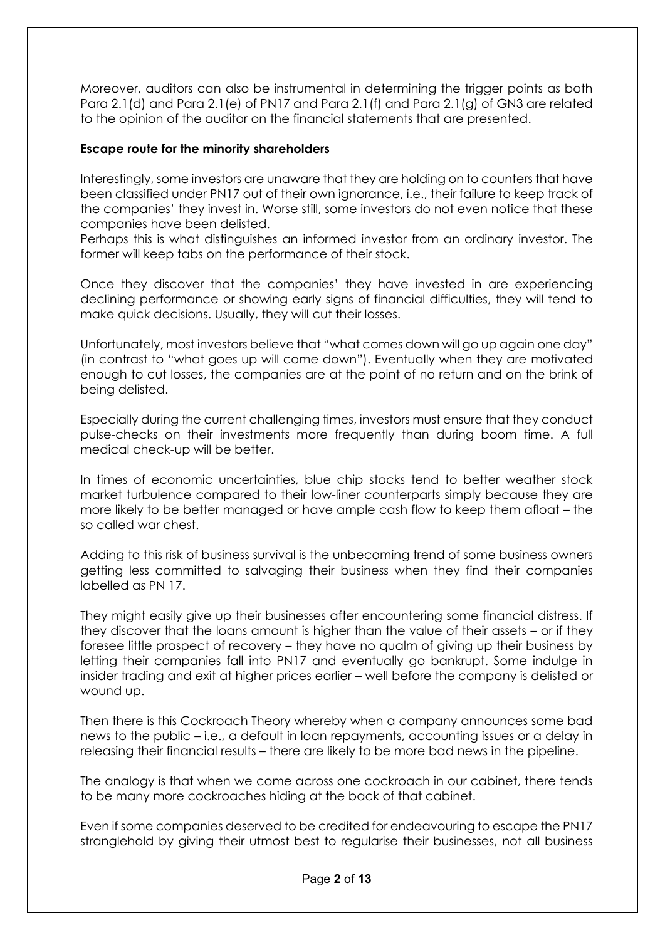Moreover, auditors can also be instrumental in determining the trigger points as both Para 2.1(d) and Para 2.1(e) of PN17 and Para 2.1(f) and Para 2.1(g) of GN3 are related to the opinion of the auditor on the financial statements that are presented.

## **Escape route for the minority shareholders**

Interestingly, some investors are unaware that they are holding on to counters that have been classified under PN17 out of their own ignorance, i.e., their failure to keep track of the companies' they invest in. Worse still, some investors do not even notice that these companies have been delisted.

Perhaps this is what distinguishes an informed investor from an ordinary investor. The former will keep tabs on the performance of their stock.

Once they discover that the companies' they have invested in are experiencing declining performance or showing early signs of financial difficulties, they will tend to make quick decisions. Usually, they will cut their losses.

Unfortunately, most investors believe that "what comes down will go up again one day" (in contrast to "what goes up will come down"). Eventually when they are motivated enough to cut losses, the companies are at the point of no return and on the brink of being delisted.

Especially during the current challenging times, investors must ensure that they conduct pulse-checks on their investments more frequently than during boom time. A full medical check-up will be better.

In times of economic uncertainties, blue chip stocks tend to better weather stock market turbulence compared to their low-liner counterparts simply because they are more likely to be better managed or have ample cash flow to keep them afloat – the so called war chest.

Adding to this risk of business survival is the unbecoming trend of some business owners getting less committed to salvaging their business when they find their companies labelled as PN 17.

They might easily give up their businesses after encountering some financial distress. If they discover that the loans amount is higher than the value of their assets – or if they foresee little prospect of recovery – they have no qualm of giving up their business by letting their companies fall into PN17 and eventually go bankrupt. Some indulge in insider trading and exit at higher prices earlier – well before the company is delisted or wound up.

Then there is this Cockroach Theory whereby when a company announces some bad news to the public – i.e., a default in loan repayments, accounting issues or a delay in releasing their financial results – there are likely to be more bad news in the pipeline.

The analogy is that when we come across one cockroach in our cabinet, there tends to be many more cockroaches hiding at the back of that cabinet.

Even if some companies deserved to be credited for endeavouring to escape the PN17 stranglehold by giving their utmost best to regularise their businesses, not all business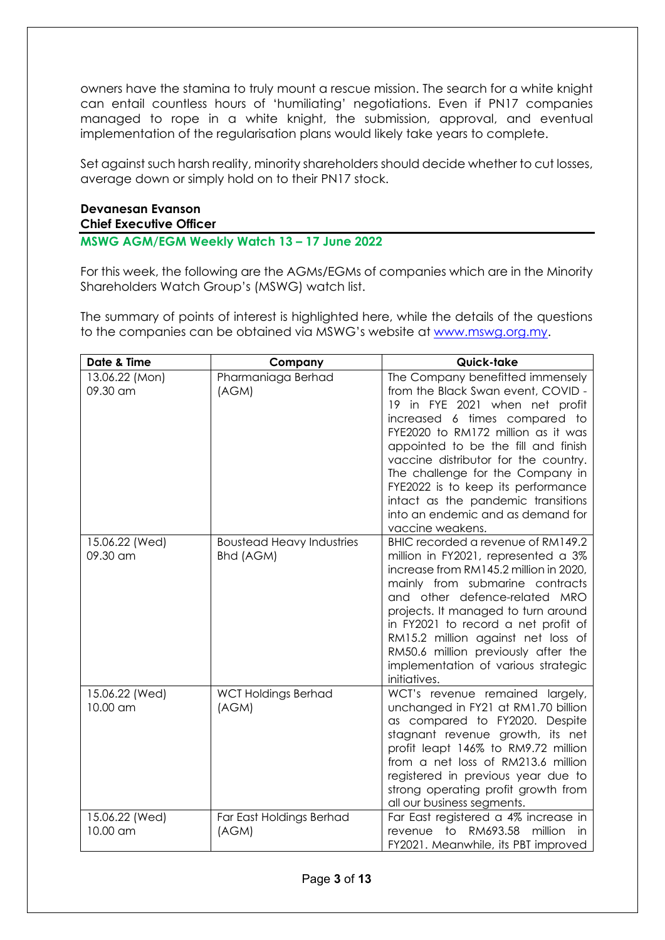owners have the stamina to truly mount a rescue mission. The search for a white knight can entail countless hours of 'humiliating' negotiations. Even if PN17 companies managed to rope in a white knight, the submission, approval, and eventual implementation of the regularisation plans would likely take years to complete.

Set against such harsh reality, minority shareholders should decide whether to cut losses, average down or simply hold on to their PN17 stock.

## **Devanesan Evanson Chief Executive Officer**

**MSWG AGM/EGM Weekly Watch 13 – 17 June 2022** 

For this week, the following are the AGMs/EGMs of companies which are in the Minority Shareholders Watch Group's (MSWG) watch list.

The summary of points of interest is highlighted here, while the details of the questions to the companies can be obtained via MSWG's website at [www.mswg.org.my.](http://www.mswg.org.my/)

| Date & Time                | Company                                       | Quick-take                                                                                                                                                                                                                                                                                                                                                                                                                              |
|----------------------------|-----------------------------------------------|-----------------------------------------------------------------------------------------------------------------------------------------------------------------------------------------------------------------------------------------------------------------------------------------------------------------------------------------------------------------------------------------------------------------------------------------|
| 13.06.22 (Mon)<br>09.30 am | Pharmaniaga Berhad<br>(AGM)                   | The Company benefitted immensely<br>from the Black Swan event, COVID -<br>19 in FYE 2021 when net profit<br>increased 6 times compared to<br>FYE2020 to RM172 million as it was<br>appointed to be the fill and finish<br>vaccine distributor for the country.<br>The challenge for the Company in<br>FYE2022 is to keep its performance<br>intact as the pandemic transitions<br>into an endemic and as demand for<br>vaccine weakens. |
| 15.06.22 (Wed)<br>09.30 am | <b>Boustead Heavy Industries</b><br>Bhd (AGM) | BHIC recorded a revenue of RM149.2<br>million in FY2021, represented a 3%<br>increase from RM145.2 million in 2020,<br>mainly from submarine contracts<br>and other defence-related MRO<br>projects. It managed to turn around<br>in FY2021 to record a net profit of<br>RM15.2 million against net loss of<br>RM50.6 million previously after the<br>implementation of various strategic<br>initiatives.                               |
| 15.06.22 (Wed)<br>10.00 am | <b>WCT Holdings Berhad</b><br>(AGM)           | WCT's revenue remained largely,<br>unchanged in FY21 at RM1.70 billion<br>as compared to FY2020. Despite<br>stagnant revenue growth, its net<br>profit leapt 146% to RM9.72 million<br>from a net loss of RM213.6 million<br>registered in previous year due to<br>strong operating profit growth from<br>all our business segments.                                                                                                    |
| 15.06.22 (Wed)<br>10.00 am | Far East Holdings Berhad<br>(AGM)             | Far East registered a 4% increase in<br>RM693.58<br>to<br>million<br>revenue<br>in.<br>FY2021. Meanwhile, its PBT improved                                                                                                                                                                                                                                                                                                              |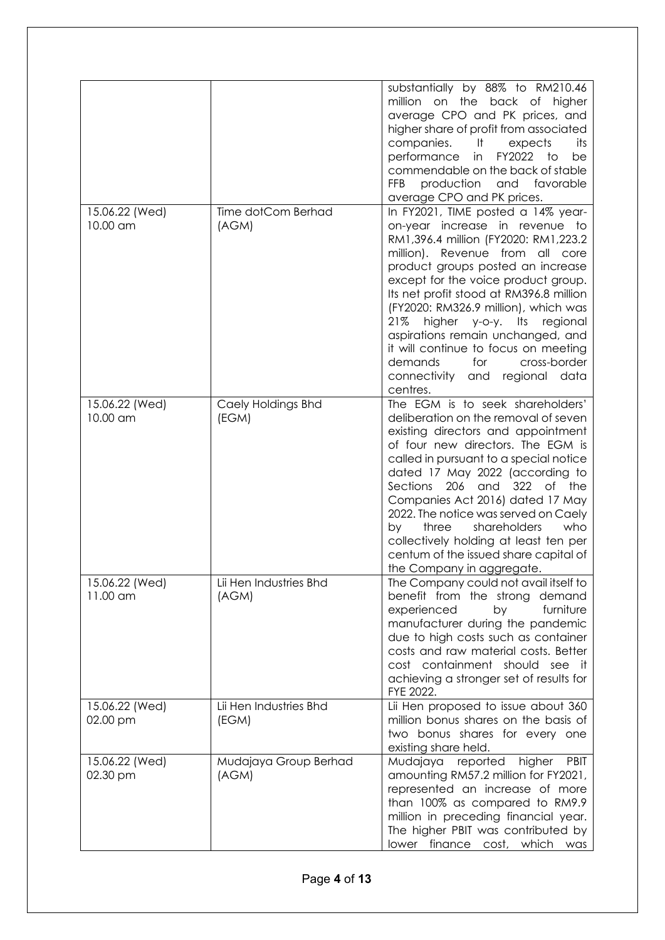|                            |                                 | substantially by 88% to RM210.46<br>million on the<br>back of<br>higher<br>average CPO and PK prices, and<br>higher share of profit from associated<br>companies.<br>its<br>– It<br>expects<br>performance<br>FY2022<br>to<br>in<br>be<br>commendable on the back of stable<br><b>FFB</b><br>production<br>favorable<br>and<br>average CPO and PK prices.                                                                                                                                                                                 |
|----------------------------|---------------------------------|-------------------------------------------------------------------------------------------------------------------------------------------------------------------------------------------------------------------------------------------------------------------------------------------------------------------------------------------------------------------------------------------------------------------------------------------------------------------------------------------------------------------------------------------|
| 15.06.22 (Wed)<br>10.00 am | Time dotCom Berhad<br>(AGM)     | In FY2021, TIME posted a 14% year-<br>increase in revenue to<br>on-year<br>RM1,396.4 million (FY2020: RM1,223.2<br>million). Revenue from all core<br>product groups posted an increase<br>except for the voice product group.<br>Its net profit stood at RM396.8 million<br>(FY2020: RM326.9 million), which was<br>21%<br>higher<br>$y$ -O- $y$ .<br>lts<br>regional<br>aspirations remain unchanged, and<br>it will continue to focus on meeting<br>demands<br>for<br>cross-border<br>connectivity<br>regional data<br>and<br>centres. |
| 15.06.22 (Wed)<br>10.00 am | Caely Holdings Bhd<br>(EGM)     | The EGM is to seek shareholders'<br>deliberation on the removal of seven<br>existing directors and appointment<br>of four new directors. The EGM is<br>called in pursuant to a special notice<br>dated 17 May 2022 (according to<br>Sections<br>206<br>and<br>322<br>of<br>the<br>Companies Act 2016) dated 17 May<br>2022. The notice was served on Caely<br>shareholders<br>who<br>three<br>by<br>collectively holding at least ten per<br>centum of the issued share capital of<br>the Company in aggregate.                           |
| 15.06.22 (Wed)<br>11.00 am | Lii Hen Industries Bhd<br>(AGM) | The Company could not avail itself to<br>benefit from the strong<br>demand<br>experienced<br>by<br>furniture<br>manufacturer during the pandemic<br>due to high costs such as container<br>costs and raw material costs. Better<br>cost containment should see it<br>achieving a stronger set of results for<br>FYE 2022.                                                                                                                                                                                                                 |
| 15.06.22 (Wed)<br>02.00 pm | Lii Hen Industries Bhd<br>(EGM) | Lii Hen proposed to issue about 360<br>million bonus shares on the basis of<br>two bonus shares for every one<br>existing share held.                                                                                                                                                                                                                                                                                                                                                                                                     |
| 15.06.22 (Wed)<br>02.30 pm | Mudajaya Group Berhad<br>(AGM)  | Mudajaya<br>reported<br>higher<br><b>PBIT</b><br>amounting RM57.2 million for FY2021,<br>represented an increase of more<br>than 100% as compared to RM9.9<br>million in preceding financial year.<br>The higher PBIT was contributed by<br>lower finance cost, which was                                                                                                                                                                                                                                                                 |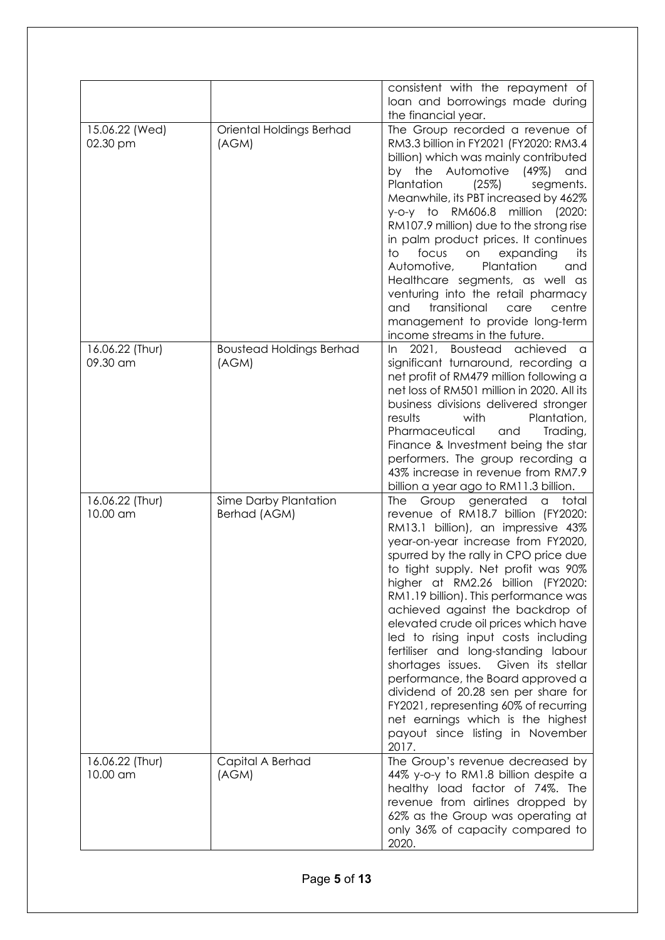|                             |                                          | consistent with the repayment of<br>loan and borrowings made during                                                                                                                                                                                                                                                                                                                                                                                                                                                                                                                                                                                                                                                          |
|-----------------------------|------------------------------------------|------------------------------------------------------------------------------------------------------------------------------------------------------------------------------------------------------------------------------------------------------------------------------------------------------------------------------------------------------------------------------------------------------------------------------------------------------------------------------------------------------------------------------------------------------------------------------------------------------------------------------------------------------------------------------------------------------------------------------|
|                             |                                          | the financial year.                                                                                                                                                                                                                                                                                                                                                                                                                                                                                                                                                                                                                                                                                                          |
| 15.06.22 (Wed)<br>02.30 pm  | Oriental Holdings Berhad<br>(AGM)        | The Group recorded a revenue of<br>RM3.3 billion in FY2021 (FY2020: RM3.4<br>billion) which was mainly contributed<br>by the Automotive<br>(49%)<br>and<br>Plantation<br>(25%)<br>segments.<br>Meanwhile, its PBT increased by 462%<br>RM606.8<br>million<br>y-o-y to<br>(2020)<br>RM107.9 million) due to the strong rise<br>in palm product prices. It continues<br>focus<br>to<br>expanding<br>its<br>on<br>Automotive,<br>Plantation<br>and<br>Healthcare segments, as well as<br>venturing into the retail pharmacy<br>transitional<br>centre<br>and<br>care<br>management to provide long-term<br>income streams in the future.                                                                                        |
| 16.06.22 (Thur)<br>09.30 am | <b>Boustead Holdings Berhad</b><br>(AGM) | 2021, Boustead achieved<br>In.<br>a<br>significant turnaround, recording a<br>net profit of RM479 million following a<br>net loss of RM501 million in 2020. All its<br>business divisions delivered stronger<br>results<br>with<br>Plantation,<br>Pharmaceutical<br>and<br>Trading,<br>Finance & Investment being the star<br>performers. The group recording a<br>43% increase in revenue from RM7.9<br>billion a year ago to RM11.3 billion.                                                                                                                                                                                                                                                                               |
| 16.06.22 (Thur)<br>10.00 am | Sime Darby Plantation<br>Berhad (AGM)    | Group generated<br>The<br>total<br>a<br>revenue of RM18.7 billion (FY2020:<br>RM13.1 billion), an impressive 43%<br>year-on-year increase from FY2020,<br>spurred by the rally in CPO price due<br>to tight supply. Net profit was 90%<br>higher at RM2.26 billion (FY2020:<br>RM1.19 billion). This performance was<br>achieved against the backdrop of<br>elevated crude oil prices which have<br>led to rising input costs including<br>fertiliser and long-standing labour<br>shortages issues. Given its stellar<br>performance, the Board approved a<br>dividend of 20.28 sen per share for<br>FY2021, representing 60% of recurring<br>net earnings which is the highest<br>payout since listing in November<br>2017. |
| 16.06.22 (Thur)<br>10.00 am | Capital A Berhad<br>(AGM)                | The Group's revenue decreased by<br>44% y-o-y to RM1.8 billion despite a<br>healthy load factor of 74%. The<br>revenue from airlines dropped by<br>62% as the Group was operating at<br>only 36% of capacity compared to<br>2020.                                                                                                                                                                                                                                                                                                                                                                                                                                                                                            |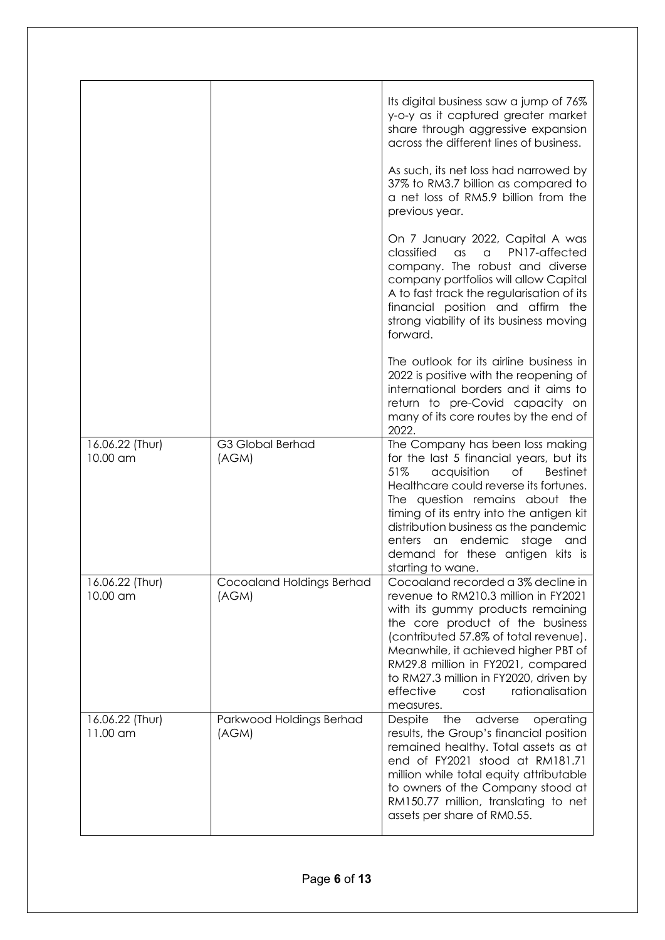|                             |                                    | Its digital business saw a jump of 76%<br>y-o-y as it captured greater market<br>share through aggressive expansion<br>across the different lines of business.<br>As such, its net loss had narrowed by<br>37% to RM3.7 billion as compared to<br>a net loss of RM5.9 billion from the<br>previous year.                                                                               |
|-----------------------------|------------------------------------|----------------------------------------------------------------------------------------------------------------------------------------------------------------------------------------------------------------------------------------------------------------------------------------------------------------------------------------------------------------------------------------|
|                             |                                    | On 7 January 2022, Capital A was<br>classified<br>PN17-affected<br>$\alpha$ s<br>a<br>company. The robust and diverse<br>company portfolios will allow Capital<br>A to fast track the regularisation of its<br>financial position and affirm the<br>strong viability of its business moving<br>forward.                                                                                |
|                             |                                    | The outlook for its airline business in<br>2022 is positive with the reopening of<br>international borders and it aims to<br>return to pre-Covid capacity on<br>many of its core routes by the end of<br>2022.                                                                                                                                                                         |
| 16.06.22 (Thur)<br>10.00 am | G3 Global Berhad<br>(AGM)          | The Company has been loss making<br>for the last 5 financial years, but its<br>51%<br>acquisition<br>Оf<br><b>Bestinet</b><br>Healthcare could reverse its fortunes.<br>The question remains about the<br>timing of its entry into the antigen kit<br>distribution business as the pandemic<br>enters an endemic stage<br>and<br>demand for these antigen kits is<br>starting to wane. |
| 16.06.22 (Thur)<br>10.00 am | Cocoaland Holdings Berhad<br>(AGM) | Cocoaland recorded a 3% decline in<br>revenue to RM210.3 million in FY2021<br>with its gummy products remaining<br>the core product of the business<br>(contributed 57.8% of total revenue).<br>Meanwhile, it achieved higher PBT of<br>RM29.8 million in FY2021, compared<br>to RM27.3 million in FY2020, driven by<br>rationalisation<br>effective<br>cost<br>measures.              |
| 16.06.22 (Thur)<br>11.00 am | Parkwood Holdings Berhad<br>(AGM)  | Despite<br>the<br>adverse<br>operating<br>results, the Group's financial position<br>remained healthy. Total assets as at<br>end of FY2021 stood at RM181.71<br>million while total equity attributable<br>to owners of the Company stood at<br>RM150.77 million, translating to net<br>assets per share of RM0.55.                                                                    |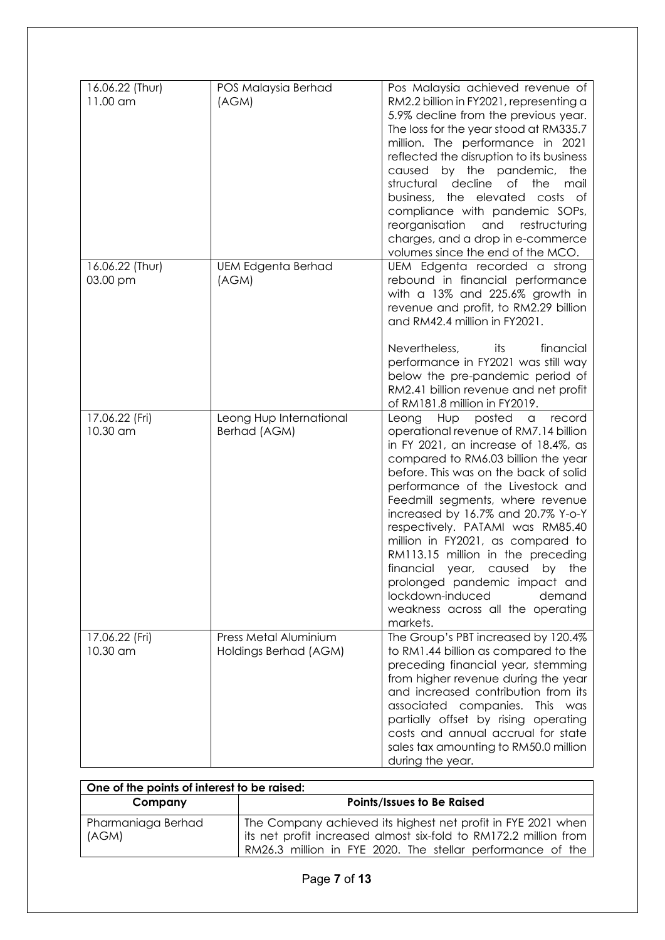| 16.06.22 (Thur)<br>11.00 am | POS Malaysia Berhad<br>(AGM)                   | Pos Malaysia achieved revenue of<br>RM2.2 billion in FY2021, representing a<br>5.9% decline from the previous year.<br>The loss for the year stood at RM335.7<br>million. The performance in 2021<br>reflected the disruption to its business<br>caused by the pandemic,<br>the<br>decline<br>structural<br>of<br>the<br>mail<br>business, the elevated<br>costs of<br>compliance with pandemic SOPs,<br>reorganisation<br>and<br>restructuring<br>charges, and a drop in e-commerce<br>volumes since the end of the MCO.                                                                        |
|-----------------------------|------------------------------------------------|--------------------------------------------------------------------------------------------------------------------------------------------------------------------------------------------------------------------------------------------------------------------------------------------------------------------------------------------------------------------------------------------------------------------------------------------------------------------------------------------------------------------------------------------------------------------------------------------------|
| 16.06.22 (Thur)<br>03.00 pm | <b>UEM Edgenta Berhad</b><br>(AGM)             | UEM Edgenta recorded a strong<br>rebound in financial performance<br>with a 13% and 225.6% growth in<br>revenue and profit, to RM2.29 billion<br>and RM42.4 million in FY2021.<br>Nevertheless,<br>financial<br>its<br>performance in FY2021 was still way<br>below the pre-pandemic period of<br>RM2.41 billion revenue and net profit<br>of RM181.8 million in FY2019.                                                                                                                                                                                                                         |
| 17.06.22 (Fri)<br>10.30 am  | Leong Hup International<br>Berhad (AGM)        | Hup posted<br>Leong<br>record<br>$\alpha$<br>operational revenue of RM7.14 billion<br>in FY 2021, an increase of 18.4%, as<br>compared to RM6.03 billion the year<br>before. This was on the back of solid<br>performance of the Livestock and<br>Feedmill segments, where revenue<br>increased by 16.7% and 20.7% Y-o-Y<br>respectively. PATAMI was RM85.40<br>million in FY2021, as compared to<br>RM113.15 million in the preceding<br>financial year,<br>caused<br>the<br>by<br>prolonged pandemic impact and<br>lockdown-induced<br>demand<br>weakness across all the operating<br>markets. |
| 17.06.22 (Fri)<br>10.30 am  | Press Metal Aluminium<br>Holdings Berhad (AGM) | The Group's PBT increased by 120.4%<br>to RM1.44 billion as compared to the<br>preceding financial year, stemming<br>from higher revenue during the year<br>and increased contribution from its<br>associated companies.<br>This<br>was<br>partially offset by rising operating<br>costs and annual accrual for state<br>sales tax amounting to RM50.0 million<br>during the year.                                                                                                                                                                                                               |

| One of the points of interest to be raised: |                                                                                                                                                                                                |
|---------------------------------------------|------------------------------------------------------------------------------------------------------------------------------------------------------------------------------------------------|
| Company                                     | <b>Points/Issues to Be Raised</b>                                                                                                                                                              |
| Pharmaniaga Berhad<br>(AGM)                 | The Company achieved its highest net profit in FYE 2021 when<br>its net profit increased almost six-fold to RM172.2 million from<br>RM26.3 million in FYE 2020. The stellar performance of the |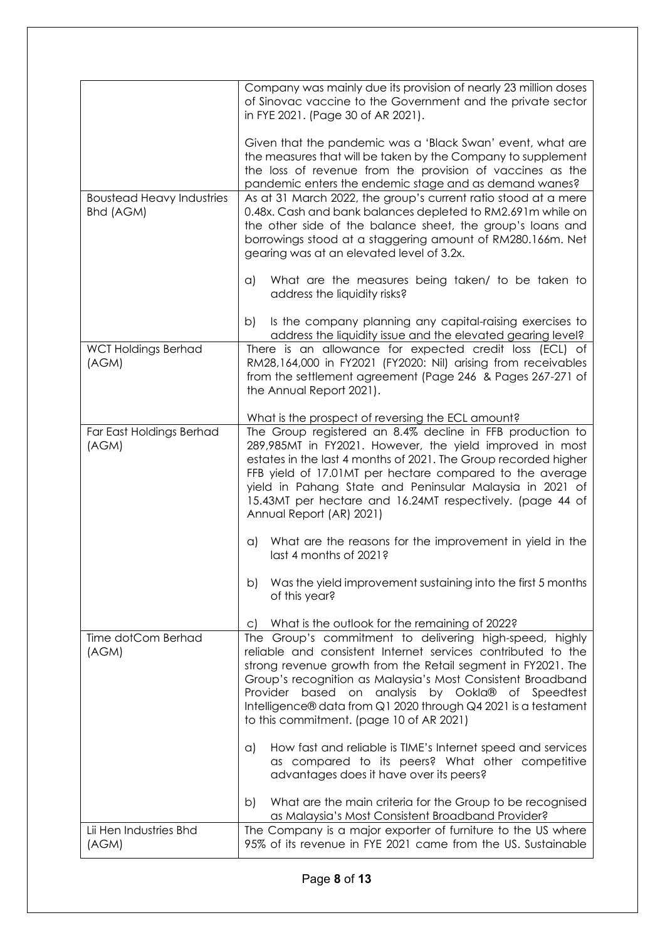|                                               | Company was mainly due its provision of nearly 23 million doses<br>of Sinovac vaccine to the Government and the private sector<br>in FYE 2021. (Page 30 of AR 2021).                                                                                                                                                                                                                                                                             |
|-----------------------------------------------|--------------------------------------------------------------------------------------------------------------------------------------------------------------------------------------------------------------------------------------------------------------------------------------------------------------------------------------------------------------------------------------------------------------------------------------------------|
| <b>Boustead Heavy Industries</b><br>Bhd (AGM) | Given that the pandemic was a 'Black Swan' event, what are<br>the measures that will be taken by the Company to supplement<br>the loss of revenue from the provision of vaccines as the<br>pandemic enters the endemic stage and as demand wanes?<br>As at 31 March 2022, the group's current ratio stood at a mere<br>0.48x. Cash and bank balances depleted to RM2.691m while on<br>the other side of the balance sheet, the group's loans and |
|                                               | borrowings stood at a staggering amount of RM280.166m. Net<br>gearing was at an elevated level of 3.2x.                                                                                                                                                                                                                                                                                                                                          |
|                                               | What are the measures being taken/ to be taken to<br>a)<br>address the liquidity risks?                                                                                                                                                                                                                                                                                                                                                          |
|                                               | Is the company planning any capital-raising exercises to<br>b)<br>address the liquidity issue and the elevated gearing level?                                                                                                                                                                                                                                                                                                                    |
| <b>WCT Holdings Berhad</b><br>(AGM)           | There is an allowance for expected credit loss (ECL) of<br>RM28,164,000 in FY2021 (FY2020: Nil) arising from receivables<br>from the settlement agreement (Page 246 & Pages 267-271 of<br>the Annual Report 2021).                                                                                                                                                                                                                               |
|                                               | What is the prospect of reversing the ECL amount?                                                                                                                                                                                                                                                                                                                                                                                                |
| Far East Holdings Berhad<br>(AGM)             | The Group registered an 8.4% decline in FFB production to<br>289,985MT in FY2021. However, the yield improved in most<br>estates in the last 4 months of 2021. The Group recorded higher<br>FFB yield of 17.01MT per hectare compared to the average<br>yield in Pahang State and Peninsular Malaysia in 2021 of<br>15.43MT per hectare and 16.24MT respectively. (page 44 of<br>Annual Report (AR) 2021)                                        |
|                                               | What are the reasons for the improvement in yield in the<br>a)<br>last 4 months of 2021?                                                                                                                                                                                                                                                                                                                                                         |
|                                               | Was the yield improvement sustaining into the first 5 months<br>b)<br>of this year?                                                                                                                                                                                                                                                                                                                                                              |
|                                               | What is the outlook for the remaining of 2022?<br>$\mathsf{C}$                                                                                                                                                                                                                                                                                                                                                                                   |
| Time dotCom Berhad<br>(AGM)                   | The Group's commitment to delivering high-speed, highly<br>reliable and consistent Internet services contributed to the<br>strong revenue growth from the Retail segment in FY2021. The<br>Group's recognition as Malaysia's Most Consistent Broadband<br>Provider based on analysis by Ookla® of Speedtest<br>Intelligence® data from Q1 2020 through Q4 2021 is a testament<br>to this commitment. (page 10 of AR 2021)                        |
|                                               | How fast and reliable is TIME's Internet speed and services<br>$\alpha$<br>as compared to its peers? What other competitive<br>advantages does it have over its peers?                                                                                                                                                                                                                                                                           |
|                                               | What are the main criteria for the Group to be recognised<br>b)<br>as Malaysia's Most Consistent Broadband Provider?                                                                                                                                                                                                                                                                                                                             |
| Lii Hen Industries Bhd<br>(AGM)               | The Company is a major exporter of furniture to the US where<br>95% of its revenue in FYE 2021 came from the US. Sustainable                                                                                                                                                                                                                                                                                                                     |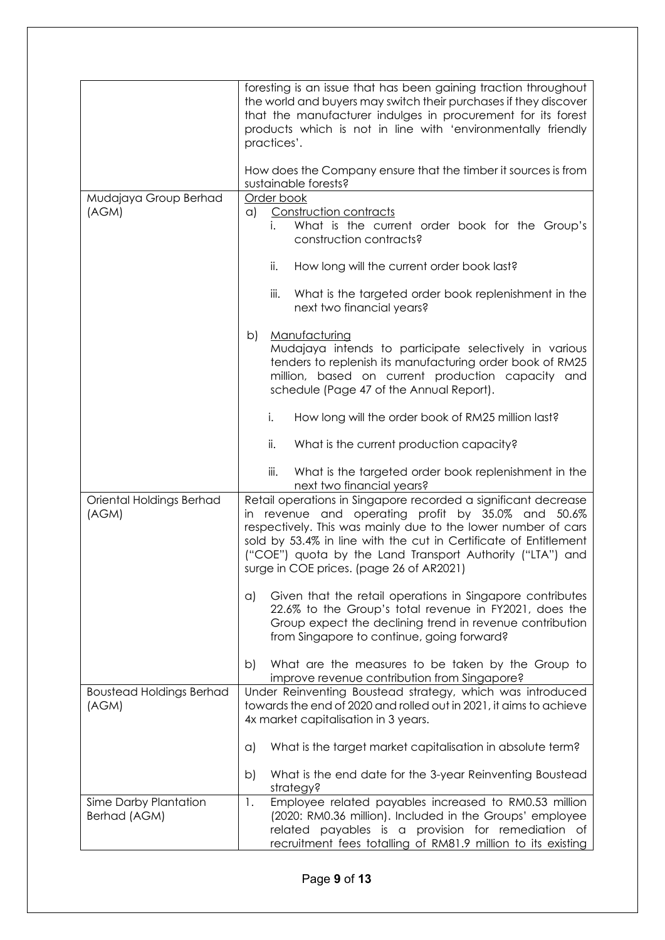|                                          | foresting is an issue that has been gaining traction throughout<br>the world and buyers may switch their purchases if they discover<br>that the manufacturer indulges in procurement for its forest<br>products which is not in line with 'environmentally friendly<br>practices'.<br>How does the Company ensure that the timber it sources is from                  |
|------------------------------------------|-----------------------------------------------------------------------------------------------------------------------------------------------------------------------------------------------------------------------------------------------------------------------------------------------------------------------------------------------------------------------|
|                                          | sustainable forests?                                                                                                                                                                                                                                                                                                                                                  |
| Mudajaya Group Berhad<br>(AGM)           | Order book<br>Construction contracts<br>a)<br>What is the current order book for the Group's<br>i.<br>construction contracts?                                                                                                                                                                                                                                         |
|                                          | ii.<br>How long will the current order book last?                                                                                                                                                                                                                                                                                                                     |
|                                          | iii.<br>What is the targeted order book replenishment in the<br>next two financial years?                                                                                                                                                                                                                                                                             |
|                                          | Manufacturing<br>b)<br>Mudajaya intends to participate selectively in various<br>tenders to replenish its manufacturing order book of RM25<br>million, based on current production capacity and<br>schedule (Page 47 of the Annual Report).                                                                                                                           |
|                                          | i.<br>How long will the order book of RM25 million last?                                                                                                                                                                                                                                                                                                              |
|                                          | ii.<br>What is the current production capacity?                                                                                                                                                                                                                                                                                                                       |
|                                          | iii.<br>What is the targeted order book replenishment in the<br>next two financial years?                                                                                                                                                                                                                                                                             |
| Oriental Holdings Berhad<br>(AGM)        | Retail operations in Singapore recorded a significant decrease<br>revenue and operating profit by 35.0% and 50.6%<br>in<br>respectively. This was mainly due to the lower number of cars<br>sold by 53.4% in line with the cut in Certificate of Entitlement<br>("COE") quota by the Land Transport Authority ("LTA") and<br>surge in COE prices. (page 26 of AR2021) |
|                                          | Given that the retail operations in Singapore contributes<br>a)<br>22.6% to the Group's total revenue in FY2021, does the<br>Group expect the declining trend in revenue contribution<br>from Singapore to continue, going forward?                                                                                                                                   |
|                                          | What are the measures to be taken by the Group to<br>b)<br>improve revenue contribution from Singapore?                                                                                                                                                                                                                                                               |
| <b>Boustead Holdings Berhad</b><br>(AGM) | Under Reinventing Boustead strategy, which was introduced<br>towards the end of 2020 and rolled out in 2021, it aims to achieve<br>4x market capitalisation in 3 years.                                                                                                                                                                                               |
|                                          | What is the target market capitalisation in absolute term?<br>$\alpha$                                                                                                                                                                                                                                                                                                |
|                                          | What is the end date for the 3-year Reinventing Boustead<br>b)<br>strategy?                                                                                                                                                                                                                                                                                           |
| Sime Darby Plantation<br>Berhad (AGM)    | Employee related payables increased to RM0.53 million<br>1.<br>(2020: RM0.36 million). Included in the Groups' employee<br>related payables is a provision for remediation of<br>recruitment fees totalling of RM81.9 million to its existing                                                                                                                         |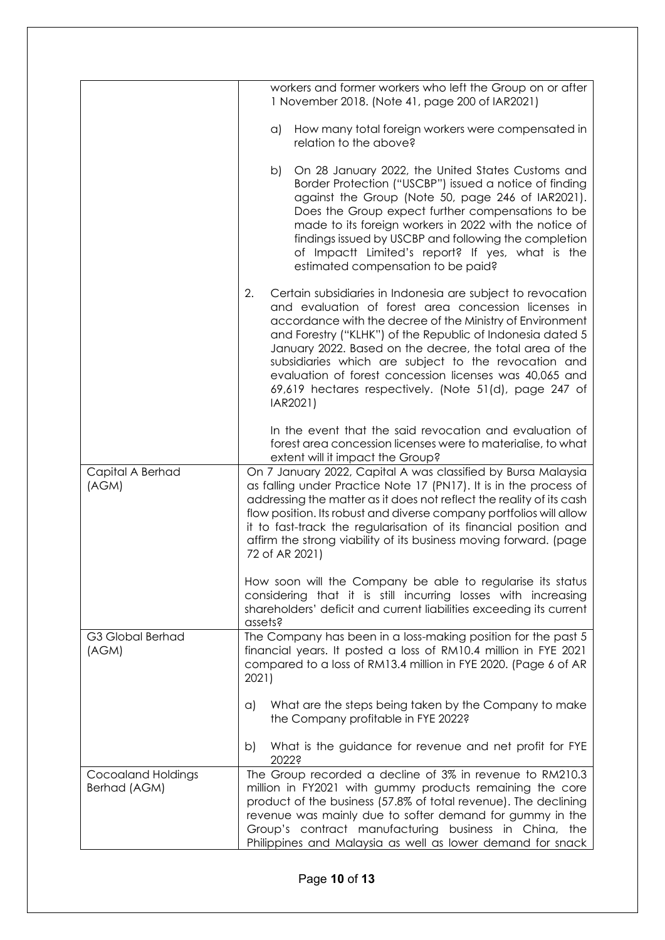|                                           | workers and former workers who left the Group on or after<br>1 November 2018. (Note 41, page 200 of IAR2021)                                                                                                                                                                                                                                                                                                                                                                                              |
|-------------------------------------------|-----------------------------------------------------------------------------------------------------------------------------------------------------------------------------------------------------------------------------------------------------------------------------------------------------------------------------------------------------------------------------------------------------------------------------------------------------------------------------------------------------------|
|                                           | How many total foreign workers were compensated in<br>a)<br>relation to the above?                                                                                                                                                                                                                                                                                                                                                                                                                        |
|                                           | On 28 January 2022, the United States Customs and<br>b)<br>Border Protection ("USCBP") issued a notice of finding<br>against the Group (Note 50, page 246 of IAR2021).<br>Does the Group expect further compensations to be<br>made to its foreign workers in 2022 with the notice of<br>findings issued by USCBP and following the completion<br>of Impactt Limited's report? If yes, what is the<br>estimated compensation to be paid?                                                                  |
|                                           | 2.<br>Certain subsidiaries in Indonesia are subject to revocation<br>and evaluation of forest area concession licenses in<br>accordance with the decree of the Ministry of Environment<br>and Forestry ("KLHK") of the Republic of Indonesia dated 5<br>January 2022. Based on the decree, the total area of the<br>subsidiaries which are subject to the revocation and<br>evaluation of forest concession licenses was 40,065 and<br>69,619 hectares respectively. (Note 51(d), page 247 of<br>IAR2021) |
|                                           | In the event that the said revocation and evaluation of<br>forest area concession licenses were to materialise, to what<br>extent will it impact the Group?                                                                                                                                                                                                                                                                                                                                               |
| Capital A Berhad<br>(AGM)                 | On 7 January 2022, Capital A was classified by Bursa Malaysia<br>as falling under Practice Note 17 (PN17). It is in the process of<br>addressing the matter as it does not reflect the reality of its cash<br>flow position. Its robust and diverse company portfolios will allow<br>it to fast-track the regularisation of its financial position and<br>affirm the strong viability of its business moving forward. (page<br>72 of AR 2021)                                                             |
|                                           | How soon will the Company be able to regularise its status<br>considering that it is still incurring losses with increasing<br>shareholders' deficit and current liabilities exceeding its current<br>assets?                                                                                                                                                                                                                                                                                             |
| G3 Global Berhad<br>(AGM)                 | The Company has been in a loss-making position for the past 5<br>financial years. It posted a loss of RM10.4 million in FYE 2021<br>compared to a loss of RM13.4 million in FYE 2020. (Page 6 of AR<br>2021)                                                                                                                                                                                                                                                                                              |
|                                           | What are the steps being taken by the Company to make<br>a)<br>the Company profitable in FYE 2022?                                                                                                                                                                                                                                                                                                                                                                                                        |
|                                           | What is the guidance for revenue and net profit for FYE<br>b)<br>2022?                                                                                                                                                                                                                                                                                                                                                                                                                                    |
| <b>Cocoaland Holdings</b><br>Berhad (AGM) | The Group recorded a decline of 3% in revenue to RM210.3<br>million in FY2021 with gummy products remaining the core<br>product of the business (57.8% of total revenue). The declining<br>revenue was mainly due to softer demand for gummy in the<br>Group's contract manufacturing business in China, the<br>Philippines and Malaysia as well as lower demand for snack                                                                                                                                |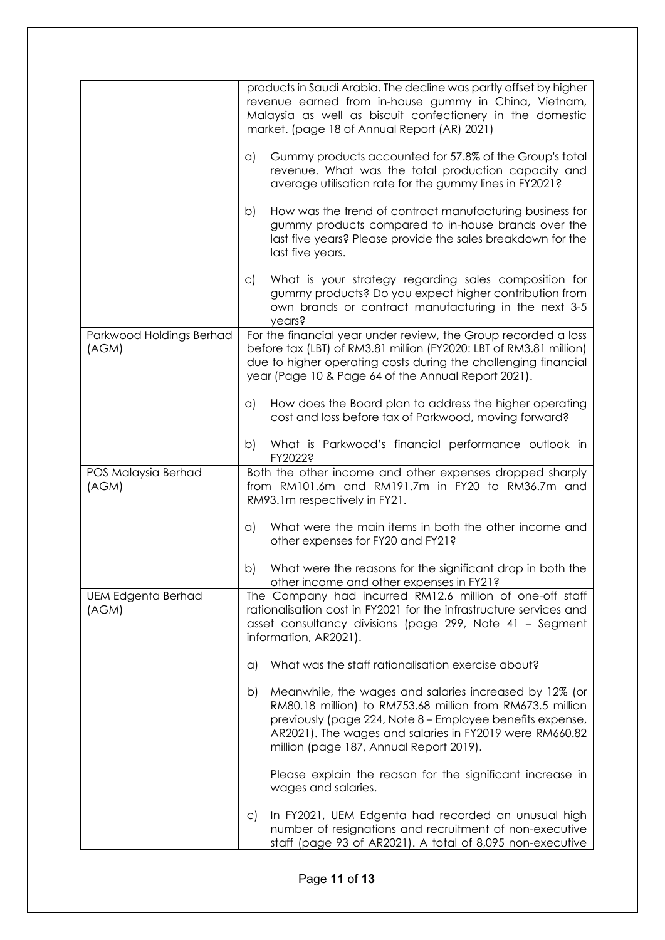|                                    | products in Saudi Arabia. The decline was partly offset by higher<br>revenue earned from in-house gummy in China, Vietnam,<br>Malaysia as well as biscuit confectionery in the domestic<br>market. (page 18 of Annual Report (AR) 2021)                                                      |
|------------------------------------|----------------------------------------------------------------------------------------------------------------------------------------------------------------------------------------------------------------------------------------------------------------------------------------------|
|                                    | Gummy products accounted for 57.8% of the Group's total<br>$\alpha$<br>revenue. What was the total production capacity and<br>average utilisation rate for the gummy lines in FY2021?                                                                                                        |
|                                    | How was the trend of contract manufacturing business for<br>b)<br>gummy products compared to in-house brands over the<br>last five years? Please provide the sales breakdown for the<br>last five years.                                                                                     |
|                                    | What is your strategy regarding sales composition for<br>C)<br>gummy products? Do you expect higher contribution from<br>own brands or contract manufacturing in the next 3-5<br>years?                                                                                                      |
| Parkwood Holdings Berhad<br>(AGM)  | For the financial year under review, the Group recorded a loss<br>before tax (LBT) of RM3.81 million (FY2020: LBT of RM3.81 million)<br>due to higher operating costs during the challenging financial<br>year (Page 10 & Page 64 of the Annual Report 2021).                                |
|                                    | How does the Board plan to address the higher operating<br>a)<br>cost and loss before tax of Parkwood, moving forward?                                                                                                                                                                       |
|                                    | What is Parkwood's financial performance outlook in<br>b)<br>FY2022?                                                                                                                                                                                                                         |
| POS Malaysia Berhad<br>(AGM)       | Both the other income and other expenses dropped sharply<br>from RM101.6m and RM191.7m in FY20 to RM36.7m and<br>RM93.1m respectively in FY21.                                                                                                                                               |
|                                    | What were the main items in both the other income and<br>a)<br>other expenses for FY20 and FY21?                                                                                                                                                                                             |
|                                    | What were the reasons for the significant drop in both the<br>b)<br>other income and other expenses in FY21?                                                                                                                                                                                 |
| <b>UEM Edgenta Berhad</b><br>(AGM) | The Company had incurred RM12.6 million of one-off staff<br>rationalisation cost in FY2021 for the infrastructure services and<br>asset consultancy divisions (page 299, Note 41 – Segment<br>information, AR2021).                                                                          |
|                                    | What was the staff rationalisation exercise about?<br>a)                                                                                                                                                                                                                                     |
|                                    | Meanwhile, the wages and salaries increased by 12% (or<br>b)<br>RM80.18 million) to RM753.68 million from RM673.5 million<br>previously (page 224, Note 8 - Employee benefits expense,<br>AR2021). The wages and salaries in FY2019 were RM660.82<br>million (page 187, Annual Report 2019). |
|                                    | Please explain the reason for the significant increase in<br>wages and salaries.                                                                                                                                                                                                             |
|                                    | In FY2021, UEM Edgenta had recorded an unusual high<br>$\mathsf{C}$<br>number of resignations and recruitment of non-executive<br>staff (page 93 of AR2021). A total of 8,095 non-executive                                                                                                  |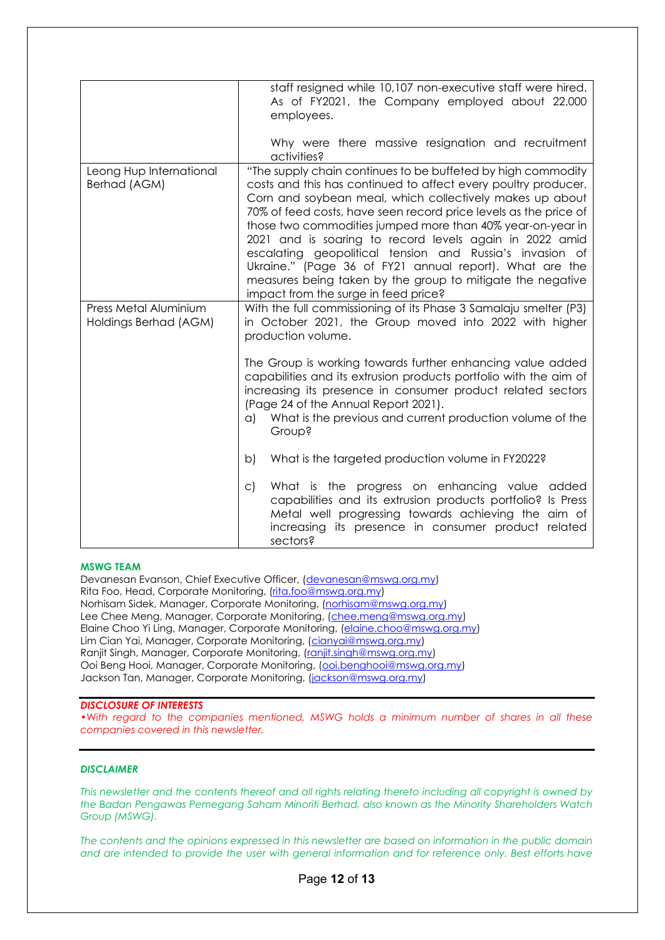|                                                | staff resigned while 10,107 non-executive staff were hired.<br>As of FY2021, the Company employed about 22,000<br>employees.                                                                                                                                                                                                                                                                                                                                                                                                                                                                                         |
|------------------------------------------------|----------------------------------------------------------------------------------------------------------------------------------------------------------------------------------------------------------------------------------------------------------------------------------------------------------------------------------------------------------------------------------------------------------------------------------------------------------------------------------------------------------------------------------------------------------------------------------------------------------------------|
|                                                | Why were there massive resignation and recruitment<br>activities?                                                                                                                                                                                                                                                                                                                                                                                                                                                                                                                                                    |
| Leong Hup International<br>Berhad (AGM)        | "The supply chain continues to be buffeted by high commodity<br>costs and this has continued to affect every poultry producer.<br>Corn and soybean meal, which collectively makes up about<br>70% of feed costs, have seen record price levels as the price of<br>those two commodities jumped more than 40% year-on-year in<br>2021 and is soaring to record levels again in 2022 amid<br>escalating geopolitical tension and Russia's invasion of<br>Ukraine." (Page 36 of FY21 annual report). What are the<br>measures being taken by the group to mitigate the negative<br>impact from the surge in feed price? |
| Press Metal Aluminium<br>Holdings Berhad (AGM) | With the full commissioning of its Phase 3 Samalaju smelter (P3)<br>in October 2021, the Group moved into 2022 with higher<br>production volume.                                                                                                                                                                                                                                                                                                                                                                                                                                                                     |
|                                                | The Group is working towards further enhancing value added<br>capabilities and its extrusion products portfolio with the aim of<br>increasing its presence in consumer product related sectors<br>(Page 24 of the Annual Report 2021).<br>What is the previous and current production volume of the<br>a)<br><b>Group?</b>                                                                                                                                                                                                                                                                                           |
|                                                | What is the targeted production volume in FY2022?<br>b)                                                                                                                                                                                                                                                                                                                                                                                                                                                                                                                                                              |
|                                                | What is the progress on enhancing value added<br>$\mathsf{C}$<br>capabilities and its extrusion products portfolio? Is Press<br>Metal well progressing towards achieving the aim of<br>increasing its presence in consumer product related<br>sectors?                                                                                                                                                                                                                                                                                                                                                               |

#### **MSWG TEAM**

Devanesan Evanson, Chief Executive Officer, [\(devanesan@mswg.org.my\)](mailto:devanesan@mswg.org.my) Rita Foo, Head, Corporate Monitoring, [\(rita.foo@mswg.org.my\)](mailto:rita.foo@mswg.org.my) Norhisam Sidek, Manager, Corporate Monitoring, [\(norhisam@mswg.org.my\)](mailto:norhisam@mswg.org.my) Lee Chee Meng, Manager, Corporate Monitoring, [\(chee.meng@mswg.org.my\)](mailto:chee.meng@mswg.org.my) Elaine Choo Yi Ling, Manager, Corporate Monitoring, [\(elaine.choo@mswg.org.my\)](mailto:elaine.choo@mswg.org.my) Lim Cian Yai, Manager, Corporate Monitoring, [\(cianyai@mswg.org.my\)](mailto:cianyai@mswg.org.my) Ranjit Singh, Manager, Corporate Monitoring, [\(ranjit.singh@mswg.org.my\)](mailto:ranjit.singh@mswg.org.my) Ooi Beng Hooi, Manager, Corporate Monitoring, [\(ooi.benghooi@mswg.org.my\)](mailto:ooi.benghooi@mswg.org.my) Jackson Tan, Manager, Corporate Monitoring, [\(jackson@mswg.org.my\)](mailto:jackson@mswg.org.my)

#### *DISCLOSURE OF INTERESTS*

•Wi*th regard to the companies mentioned, MSWG holds a minimum number of shares in all these companies covered in this newsletter.* 

#### *DISCLAIMER*

*This newsletter and the contents thereof and all rights relating thereto including all copyright is owned by the Badan Pengawas Pemegang Saham Minoriti Berhad, also known as the Minority Shareholders Watch Group (MSWG).* 

*The contents and the opinions expressed in this newsletter are based on information in the public domain*  and are intended to provide the user with general information and for reference only. Best efforts have